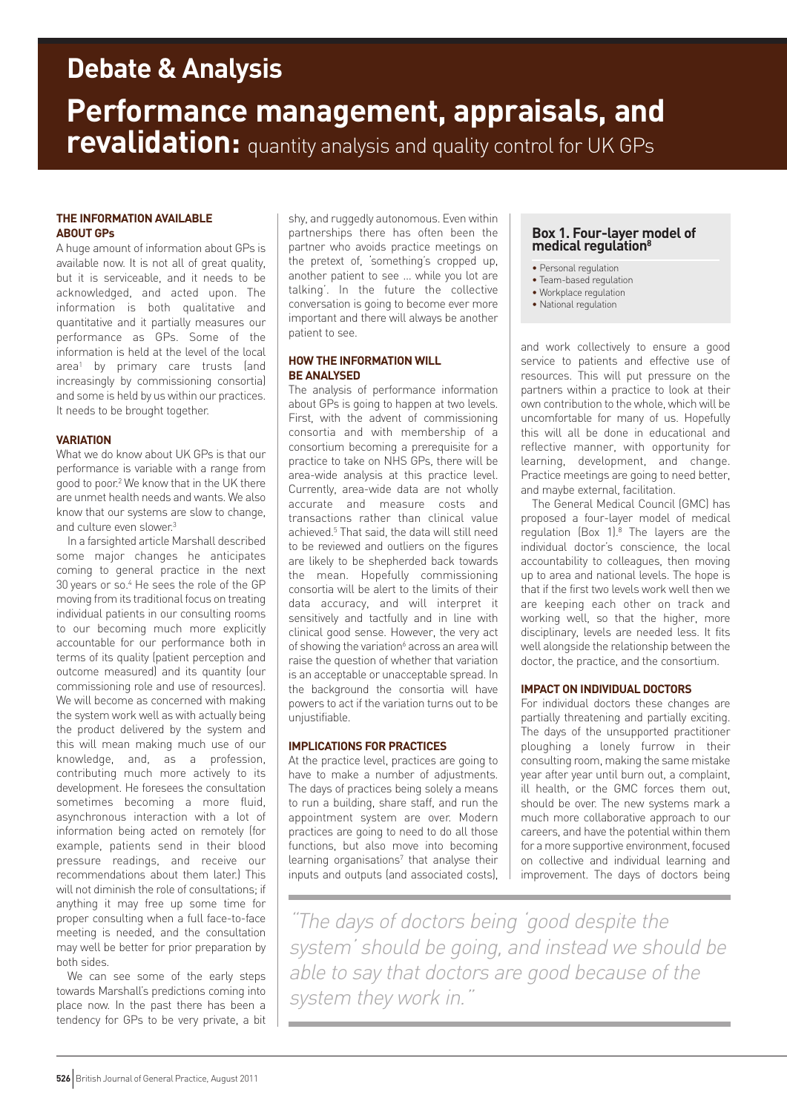# **Debate & Analysis**

# **Performance management, appraisals, and revalidation:** quantity analysis and quality control for UK GPs

## **THE INFORMATION AVAILABLE ABOUT GPs**

A huge amount of information about GPs is available now. It is not all of great quality, but it is serviceable, and it needs to be acknowledged, and acted upon. The information is both qualitative and quantitative and it partially measures our performance as GPs. Some of the information is held at the level of the local area<sup>1</sup> by primary care trusts (and increasingly by commissioning consortia) and some is held by us within our practices. It needs to be brought together.

## **VARIATION**

What we do know about UK GPs is that our performance is variable with a range from good to poor. <sup>2</sup> We know that in the UK there are unmet health needs and wants. We also know that our systems are slow to change, and culture even slower.<sup>3</sup>

In a farsighted article Marshall described some major changes he anticipates coming to general practice in the next 30 years or so. <sup>4</sup> He sees the role of the GP moving from its traditional focus on treating individual patients in our consulting rooms to our becoming much more explicitly accountable for our performance both in terms of its quality (patient perception and outcome measured) and its quantity (our commissioning role and use of resources). We will become as concerned with making the system work well as with actually being the product delivered by the system and this will mean making much use of our knowledge, and, as a profession, contributing much more actively to its development. He foresees the consultation sometimes becoming a more fluid, asynchronous interaction with a lot of information being acted on remotely (for example, patients send in their blood pressure readings, and receive our recommendations about them later.) This will not diminish the role of consultations; if anything it may free up some time for proper consulting when a full face-to-face meeting is needed, and the consultation may well be better for prior preparation by both sides.

We can see some of the early steps towards Marshall's predictions coming into place now. In the past there has been a tendency for GPs to be very private, a bit

shy, and ruggedly autonomous. Even within partnerships there has often been the partner who avoids practice meetings on the pretext of, 'something's cropped up, another patient to see … while you lot are talking'. In the future the collective conversation is going to become ever more important and there will always be another patient to see.

# **HOW THE INFORMATION WILL BE ANALYSED**

The analysis of performance information about GPs is going to happen at two levels. First, with the advent of commissioning consortia and with membership of a consortium becoming a prerequisite for a practice to take on NHS GPs, there will be area-wide analysis at this practice level. Currently, area-wide data are not wholly accurate and measure costs and transactions rather than clinical value achieved. <sup>5</sup> That said, the data will still need to be reviewed and outliers on the figures are likely to be shepherded back towards the mean. Hopefully commissioning consortia will be alert to the limits of their data accuracy, and will interpret it sensitively and tactfully and in line with clinical good sense. However, the very act of showing the variation<sup>6</sup> across an area will raise the question of whether that variation is an acceptable or unacceptable spread. In the background the consortia will have powers to act if the variation turns out to be unjustifiable.

# **IMPLICATIONS FOR PRACTICES**

At the practice level, practices are going to have to make a number of adjustments. The days of practices being solely a means to run a building, share staff, and run the appointment system are over. Modern practices are going to need to do all those functions, but also move into becoming learning organisations<sup>7</sup> that analyse their inputs and outputs (and associated costs),

# **Box 1. Four-layer model of medical regulation8**

- Personal regulation
- Team-based regulation
- Workplace regulation
- National regulation

and work collectively to ensure a good service to patients and effective use of resources. This will put pressure on the partners within a practice to look at their own contribution to the whole, which will be uncomfortable for many of us. Hopefully this will all be done in educational and reflective manner, with opportunity for learning, development, and change. Practice meetings are going to need better, and maybe external, facilitation.

The General Medical Council (GMC) has proposed a four-layer model of medical regulation (Box 1). <sup>8</sup> The layers are the individual doctor's conscience, the local accountability to colleagues, then moving up to area and national levels. The hope is that if the first two levels work well then we are keeping each other on track and working well, so that the higher, more disciplinary, levels are needed less. It fits well alongside the relationship between the doctor, the practice, and the consortium.

## **IMPACT ON INDIVIDUAL DOCTORS**

For individual doctors these changes are partially threatening and partially exciting. The days of the unsupported practitioner ploughing a lonely furrow in their consulting room, making the same mistake year after year until burn out, a complaint, ill health, or the GMC forces them out, should be over. The new systems mark a much more collaborative approach to our careers, and have the potential within them for a more supportive environment, focused on collective and individual learning and improvement. The days of doctors being

"The days of doctors being 'good despite the system' should be going, and instead we should be able to say that doctors are good because of the system they work in."